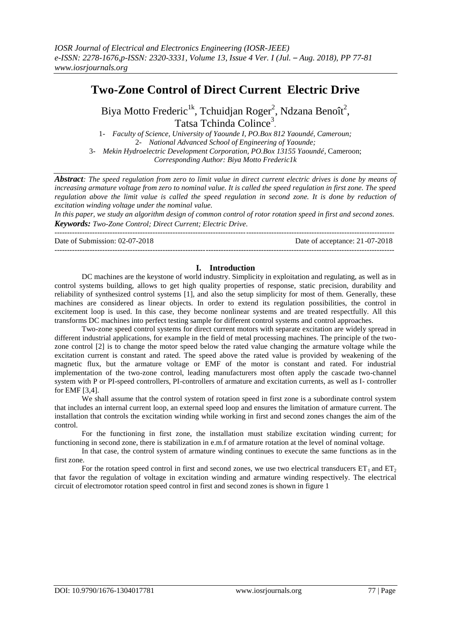# **Two-Zone Control of Direct Current Electric Drive**

Biya Motto Frederic<sup>1k</sup>, Tchuidjan Roger<sup>2</sup>, Ndzana Benoît<sup>2</sup>, Tatsa Tchinda Colince<sup>3</sup>.

1- *Faculty of Science, University of Yaounde I, PO.Box 812 Yaoundé, Cameroun;* 2- *National Advanced School of Engineering of Yaounde;* 3- *Mekin Hydroelectric Development Corporation, PO.Box 13155 Yaoundé*, Cameroon; *Corresponding Author: Biya Motto Frederic1k*

*Abstract: The speed regulation from zero to limit value in direct current electric drives is done by means of increasing armature voltage from zero to nominal value. It is called the speed regulation in first zone. The speed regulation above the limit value is called the speed regulation in second zone. It is done by reduction of excitation winding voltage under the nominal value.*

*In this paper, we study an algorithm design of common control of rotor rotation speed in first and second zones. Keywords: Two-Zone Control; Direct Current; Electric Drive.*

 $-1-\frac{1}{2}$ 

---------------------------------------------------------------------------------------------------------------------------------------

Date of Submission: 02-07-2018 Date of acceptance: 21-07-2018

## **I. Introduction**

DC machines are the keystone of world industry. Simplicity in exploitation and regulating, as well as in control systems building, allows to get high quality properties of response, static precision, durability and reliability of synthesized control systems [1], and also the setup simplicity for most of them. Generally, these machines are considered as linear objects. In order to extend its regulation possibilities, the control in excitement loop is used. In this case, they become nonlinear systems and are treated respectfully. All this transforms DC machines into perfect testing sample for different control systems and control approaches.

Two-zone speed control systems for direct current motors with separate excitation are widely spread in different industrial applications, for example in the field of metal processing machines. The principle of the twozone control [2] is to change the motor speed below the rated value changing the armature voltage while the excitation current is constant and rated. The speed above the rated value is provided by weakening of the magnetic flux, but the armature voltage or EMF of the motor is constant and rated. For industrial implementation of the two-zone control, leading manufacturers most often apply the cascade two-channel system with P or PI-speed controllers, PI-controllers of armature and excitation currents, as well as I- controller for EMF [3,4].

We shall assume that the control system of rotation speed in first zone is a subordinate control system that includes an internal current loop, an external speed loop and ensures the limitation of armature current. The installation that controls the excitation winding while working in first and second zones changes the aim of the control.

For the functioning in first zone, the installation must stabilize excitation winding current; for functioning in second zone, there is stabilization in e.m.f of armature rotation at the level of nominal voltage.

In that case, the control system of armature winding continues to execute the same functions as in the first zone.

For the rotation speed control in first and second zones, we use two electrical transducers  $ET_1$  and  $ET_2$ that favor the regulation of voltage in excitation winding and armature winding respectively. The electrical circuit of electromotor rotation speed control in first and second zones is shown in figure 1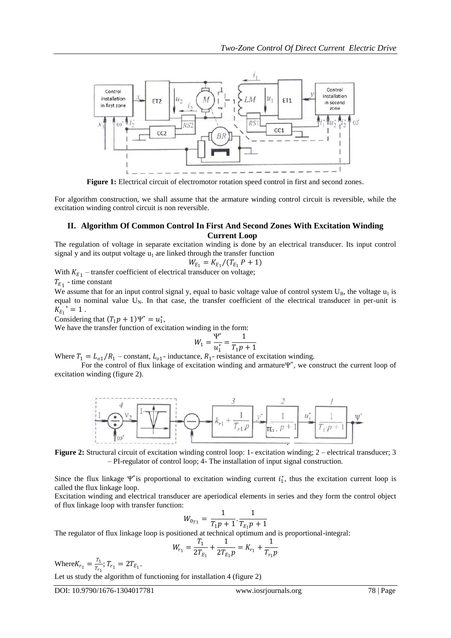

**Figure 1:** Electrical circuit of electromotor rotation speed control in first and second zones.

For algorithm construction, we shall assume that the armature winding control circuit is reversible, while the excitation winding control circuit is non reversible.

## **II. Algorithm Of Common Control In First And Second Zones With Excitation Winding Current Loop**

The regulation of voltage in separate excitation winding is done by an electrical transducer. Its input control signal y and its output voltage  $u_1$  are linked through the transfer function

$$
W_{E_1} = K_{E_1}/(T_{E_1} P + 1)
$$

With  $K_{E_1}$  – transfer coefficient of electrical transducer on voltage;

 $T_{E_1}$  - time constant

We assume that for an input control signal y, equal to basic voltage value of control system  $U_B$ , the voltage  $u_1$  is equal to nominal value  $U_N$ . In that case, the transfer coefficient of the electrical transducer in per-unit is  $K_{E_1}^* = 1$ .

Considering that  $(T_1 p + 1) \Psi^* = u_1^*$ ,

We have the transfer function of excitation winding in the form:

$$
W_1 = \frac{\Psi^*}{u_1^*} = \frac{1}{T_1 p + 1}
$$

Where  $T_1 = L_{01}/R_1$  – constant,  $L_{01}$ - inductance,  $R_1$ - resistance of excitation winding.

For the control of flux linkage of excitation winding and armatureΨ ∗ , we construct the current loop of excitation winding (figure 2).



**Figure 2:** Structural circuit of excitation winding control loop: 1- excitation winding; 2 – electrical transducer; 3 – PI-regulator of control loop; 4- The installation of input signal construction.

Since the flux linkage  $\Psi^*$  is proportional to excitation winding current  $i_1^*$ , thus the excitation current loop is called the flux linkage loop.

Excitation winding and electrical transducer are aperiodical elements in series and they form the control object of flux linkage loop with transfer function:

$$
W_{0_{T1}} = \frac{1}{T_1 p + 1} \cdot \frac{1}{T_{E_1} p + 1}
$$

The regulator of flux linkage loop is positioned at technical optimum and is proportional-integral:

$$
W_{r_1} = \frac{T_1}{2T_{E_1}} + \frac{1}{2T_{E_1}p} = K_{r_1} + \frac{1}{T_{r_1}p}
$$

Where  $K_{r_1} = \frac{T_1}{T_{rr}}$  $\frac{1}{T_{r_1}}$ ;  $T_{r_1} = 2T_{E_1}$ .

Let us study the algorithm of functioning for installation 4 (figure 2)

DOI: 10.9790/1676-1304017781 www.iosrjournals.org 78 | Page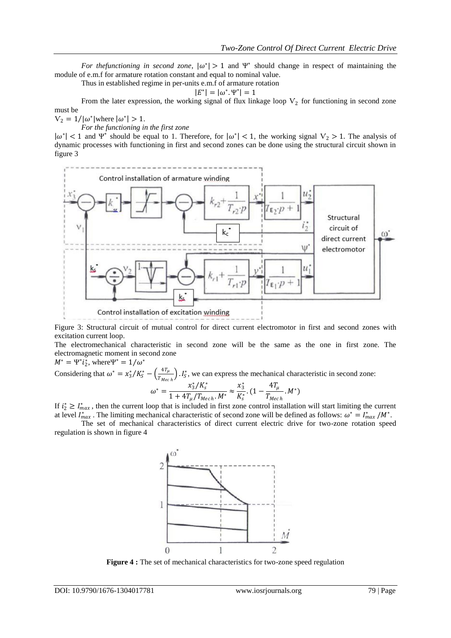*For the functioning in second zone*,  $|\omega^*| > 1$  and  $\Psi^*$  should change in respect of maintaining the module of e.m.f for armature rotation constant and equal to nominal value.

Thus in established regime in per-units e.m.f of armature rotation

$$
|E^*| = |\omega^*. \Psi^*| = 1
$$

From the later expression, the working signal of flux linkage loop  $V_2$  for functioning in second zone must be

 $V_2 = 1/|\omega^*|$  where  $|\omega^*| > 1$ .

*For the functioning in the first zone*

 $|\omega^*|$  < 1 and  $\Psi^*$  should be equal to 1. Therefore, for  $|\omega^*|$  < 1, the working signal  $V_2 > 1$ . The analysis of dynamic processes with functioning in first and second zones can be done using the structural circuit shown in figure 3



Figure 3: Structural circuit of mutual control for direct current electromotor in first and second zones with excitation current loop.

The electromechanical characteristic in second zone will be the same as the one in first zone. The electromagnetic moment in second zone  $M^* = \Psi^* i_2^*$ , where  $\Psi^* = 1/\omega^*$ 

Considering that  $\omega^* = x_3^* / K_S^* - \left(\frac{4T_{\mu}}{T_{\nu}}\right)^2$  $\left(\frac{4I_{\mu}}{T_{Mech}}\right)$ .  $I_{\mathcal{S}}^{*}$ , we can express the mechanical characteristic in second zone:

$$
\omega^* = \frac{x_3^* / K_s^*}{1 + 4T_\mu / T_{Mech} \cdot M^*} \approx \frac{x_3^*}{K_s^*} \cdot (1 - \frac{4T_\mu}{T_{Mech}} \cdot M^*)
$$

If  $i_2^* \geq I_{max}^*$ , then the current loop that is included in first zone control installation will start limiting the current at level  $I_{max}^*$ . The limiting mechanical characteristic of second zone will be defined as follows:  $\omega^* = I_{max}^* / M^*$ .

The set of mechanical characteristics of direct current electric drive for two-zone rotation speed regulation is shown in figure 4



**Figure 4 :** The set of mechanical characteristics for two-zone speed regulation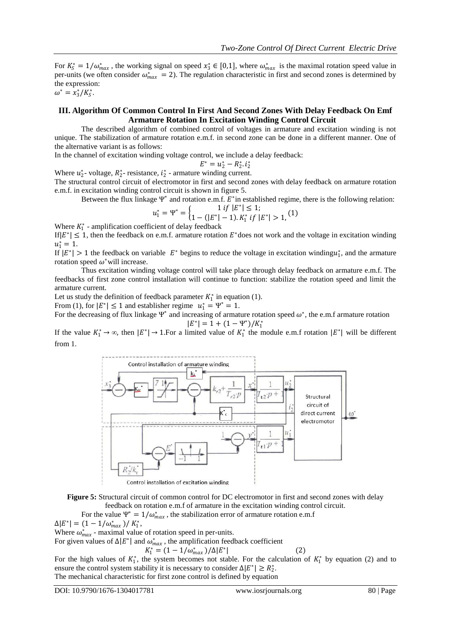$(1)$ 

For  $K_5^* = 1/\omega_{max}^*$ , the working signal on speed  $x_3^* \in [0,1]$ , where  $\omega_{max}^*$  is the maximal rotation speed value in per-units (we often consider  $\omega_{max}^* = 2$ ). The regulation characteristic in first and second zones is determined by the expression:

 $\omega^* = x_3^* / K_S^*$ .

#### **III. Algorithm Of Common Control In First And Second Zones With Delay Feedback On Emf Armature Rotation In Excitation Winding Control Circuit**

The described algorithm of combined control of voltages in armature and excitation winding is not unique. The stabilization of armature rotation e.m.f. in second zone can be done in a different manner. One of the alternative variant is as follows:

In the channel of excitation winding voltage control, we include a delay feedback:

$$
E^* = u_2^* - R_2^* . i_2^*
$$

Where  $u_2^*$ - voltage,  $R_2^*$ - resistance,  $i_2^*$  - armature winding current.

The structural control circuit of electromotor in first and second zones with delay feedback on armature rotation e.m.f. in excitation winding control circuit is shown in figure 5.

Between the flux linkage  $\Psi^*$  and rotation e.m.f.  $E^*$  in established regime, there is the following relation:

$$
f^* = \begin{cases} 1 & \text{if } |E^*| \le 1; \\ 1 & \text{if } |E^*| = 1 \end{cases}
$$

$$
u_1^* = \Psi^* = \begin{cases} 1 & t \text{ if } |E| \le 1, \\ 1 - (|E^*| - 1) \cdot K_1^* & t \text{ if } |E^*| > 1, \end{cases} (1)
$$

Where  $K_1^*$  - amplification coefficient of delay feedback

If  $|E^*| \le 1$ , then the feedback on e.m.f. armature rotation  $E^*$  does not work and the voltage in excitation winding  $u_1^* = 1.$ 

If  $|E^*| > 1$  the feedback on variable  $E^*$  begins to reduce the voltage in excitation winding $u_1^*$ , and the armature rotation speed  $\omega^*$  will increase.

Thus excitation winding voltage control will take place through delay feedback on armature e.m.f. The feedbacks of first zone control installation will continue to function: stabilize the rotation speed and limit the armature current.

Let us study the definition of feedback parameter  $K_1^*$  in equation (1).

From (1), for  $|E^*| \le 1$  and establisher regime  $u_1^* = \Psi^* = 1$ .

For the decreasing of flux linkage  $\Psi^*$  and increasing of armature rotation speed  $\omega^*$ , the e.m.f armature rotation  $|E^*| = 1 + (1 - \Psi^*)/K_1^*$ 

If the value  $K_1^* \to \infty$ , then  $|E^*| \to 1$ . For a limited value of  $K_1^*$  the module e.m. f rotation  $|E^*|$  will be different from 1.



**Figure 5:** Structural circuit of common control for DC electromotor in first and second zones with delay feedback on rotation e.m.f of armature in the excitation winding control circuit.

For the value  $\Psi^* = 1/\omega_{max}^*$ , the stabilization error of armature rotation e.m.f

 $\Delta |E^*| = (1 - 1/\omega_{max}^*)/K_1^*$ ,

Where  $\omega_{max}^*$  - maximal value of rotation speed in per-units.

For given values of  $\Delta |E^*|$  and  $\omega^*_{max}$ , the amplification feedback coefficient

$$
K_1^* = (1 - 1/\omega_{max}^*)/\Delta |E^*|
$$

For the high values of  $K_1^*$ , the system becomes not stable. For the calculation of  $K_1^*$  by equation (2) and to ensure the control system stability it is necessary to consider  $\Delta |E^*| \geq R_2^*$ . The mechanical characteristic for first zone control is defined by equation

DOI: 10.9790/1676-1304017781 www.iosrjournals.org 80 | Page

(2)